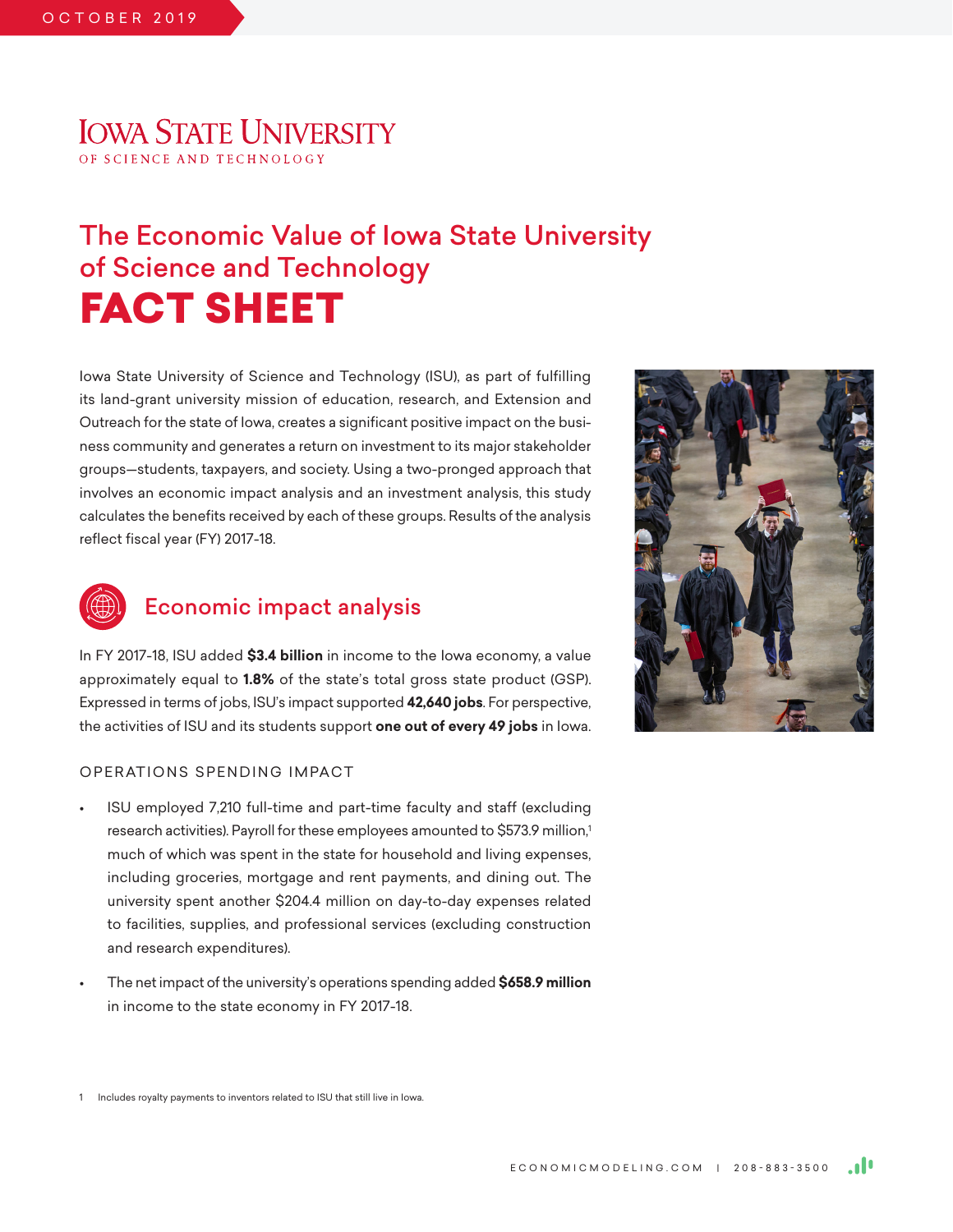## **IOWA STATE UNIVERSITY** OF SCIENCE AND TECHNOLOGY

# The Economic Value of Iowa State University of Science and Technology FACT SHEET

Iowa State University of Science and Technology (ISU), as part of fulfilling its land-grant university mission of education, research, and Extension and Outreach for the state of Iowa, creates a significant positive impact on the business community and generates a return on investment to its major stakeholder groups—students, taxpayers, and society. Using a two-pronged approach that involves an economic impact analysis and an investment analysis, this study calculates the benefits received by each of these groups. Results of the analysis reflect fiscal year (FY) 2017-18.



### Economic impact analysis

In FY 2017-18, ISU added **\$3.4 billion** in income to the Iowa economy, a value approximately equal to **1.8%** of the state's total gross state product (GSP). Expressed in terms of jobs, ISU's impact supported **42,640 jobs**. For perspective, the activities of ISU and its students support **one out of every 49 jobs** in Iowa.

#### OPERATIONS SPENDING IMPACT

- ISU employed 7,210 full-time and part-time faculty and staff (excluding research activities). Payroll for these employees amounted to \$573.9 million,<sup>1</sup> much of which was spent in the state for household and living expenses, including groceries, mortgage and rent payments, and dining out. The university spent another \$204.4 million on day-to-day expenses related to facilities, supplies, and professional services (excluding construction and research expenditures).
- The net impact of the university's operations spending added **\$658.9 million** in income to the state economy in FY 2017-18.



1 Includes royalty payments to inventors related to ISU that still live in Iowa.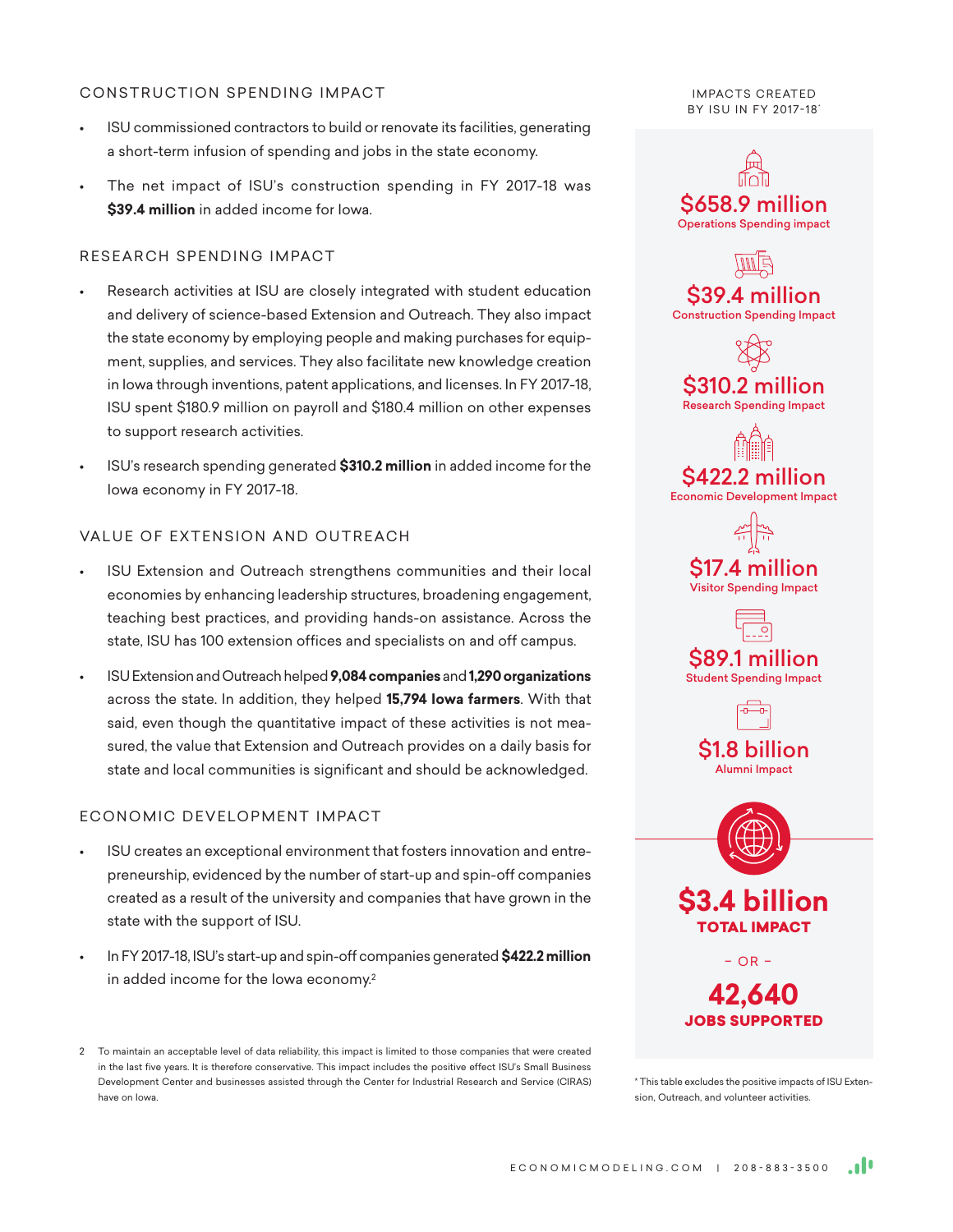#### CONSTRUCTION SPENDING IMPACT

- ISU commissioned contractors to build or renovate its facilities, generating a short-term infusion of spending and jobs in the state economy.
- The net impact of ISU's construction spending in FY 2017-18 was **\$39.4 million** in added income for Iowa.

### RESEARCH SPENDING IMPACT

- Research activities at ISU are closely integrated with student education and delivery of science-based Extension and Outreach. They also impact the state economy by employing people and making purchases for equipment, supplies, and services. They also facilitate new knowledge creation in Iowa through inventions, patent applications, and licenses. In FY 2017-18, ISU spent \$180.9 million on payroll and \$180.4 million on other expenses to support research activities.
- ISU's research spending generated **\$310.2 million** in added income for the Iowa economy in FY 2017-18.

### VALUE OF EXTENSION AND OUTREACH

- ISU Extension and Outreach strengthens communities and their local economies by enhancing leadership structures, broadening engagement, teaching best practices, and providing hands-on assistance. Across the state, ISU has 100 extension offices and specialists on and off campus.
- ISU Extension and Outreach helped **9,084 companies** and **1,290 organizations** across the state. In addition, they helped **15,794 Iowa farmers**. With that said, even though the quantitative impact of these activities is not measured, the value that Extension and Outreach provides on a daily basis for state and local communities is significant and should be acknowledged.

### ECONOMIC DEVELOPMENT IMPACT

- ISU creates an exceptional environment that fosters innovation and entrepreneurship, evidenced by the number of start-up and spin-off companies created as a result of the university and companies that have grown in the state with the support of ISU.
- In FY 2017-18, ISU's start-up and spin-off companies generated **\$422.2 million** in added income for the Iowa economy.<sup>2</sup>

2 To maintain an acceptable level of data reliability, this impact is limited to those companies that were created in the last five years. It is therefore conservative. This impact includes the positive effect ISU's Small Business Development Center and businesses assisted through the Center for Industrial Research and Service (CIRAS) have on Iowa.

**IMPACTS CREATED** BY ISU IN FY 2017-18\*



\* This table excludes the positive impacts of ISU Extension, Outreach, and volunteer activities.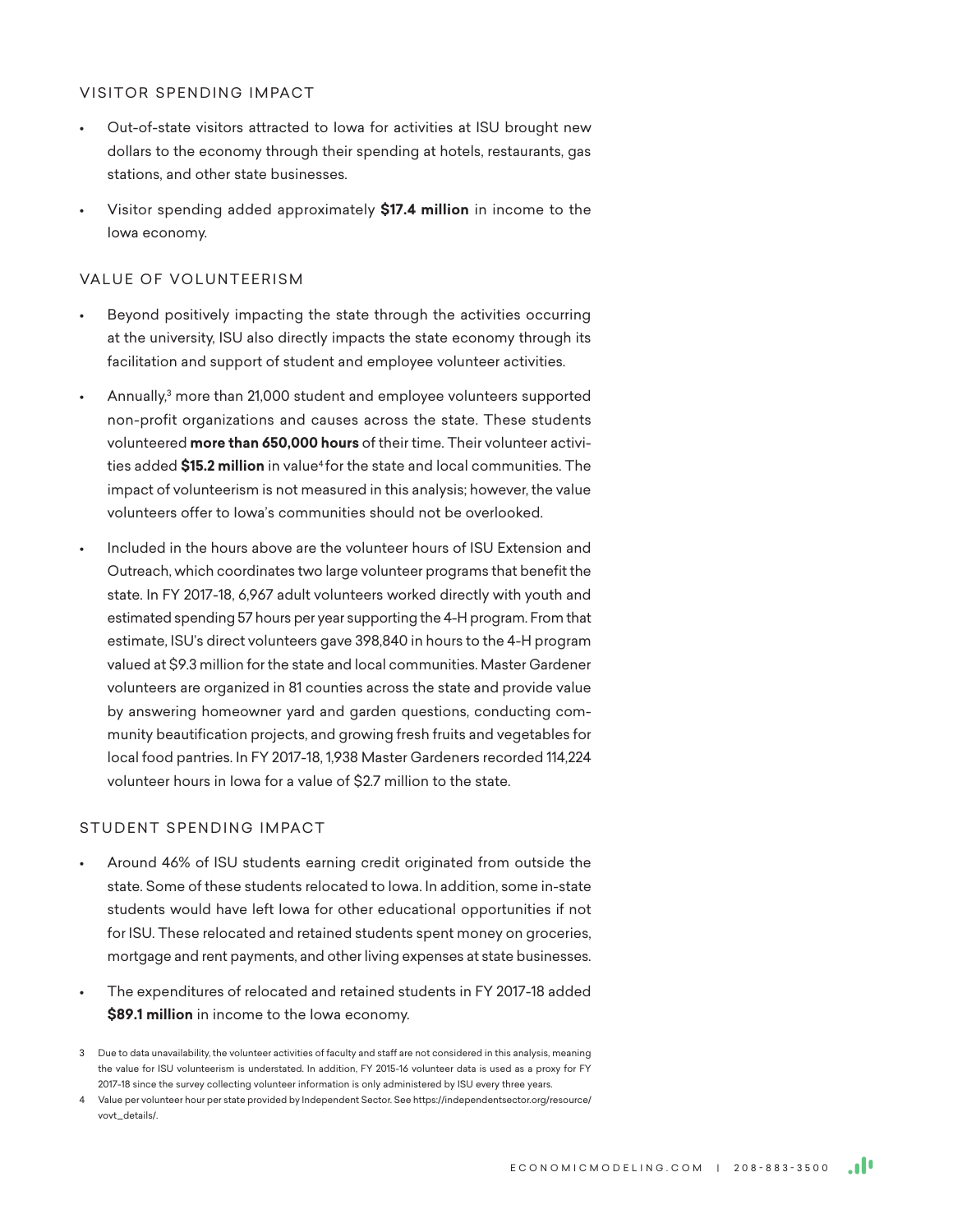#### VISITOR SPENDING IMPACT

- Out-of-state visitors attracted to Iowa for activities at ISU brought new dollars to the economy through their spending at hotels, restaurants, gas stations, and other state businesses.
- Visitor spending added approximately **\$17.4 million** in income to the Iowa economy.

#### VALUE OF VOLUNTEERISM

- Beyond positively impacting the state through the activities occurring at the university, ISU also directly impacts the state economy through its facilitation and support of student and employee volunteer activities.
- Annually, $3$  more than 21,000 student and employee volunteers supported non-profit organizations and causes across the state. These students volunteered **more than 650,000 hours** of their time. Their volunteer activities added **\$15.2 million** in value4 for the state and local communities. The impact of volunteerism is not measured in this analysis; however, the value volunteers offer to Iowa's communities should not be overlooked.
- Included in the hours above are the volunteer hours of ISU Extension and Outreach, which coordinates two large volunteer programs that benefit the state. In FY 2017-18, 6,967 adult volunteers worked directly with youth and estimated spending 57 hours per year supporting the 4-H program. From that estimate, ISU's direct volunteers gave 398,840 in hours to the 4-H program valued at \$9.3 million for the state and local communities. Master Gardener volunteers are organized in 81 counties across the state and provide value by answering homeowner yard and garden questions, conducting community beautification projects, and growing fresh fruits and vegetables for local food pantries. In FY 2017-18, 1,938 Master Gardeners recorded 114,224 volunteer hours in Iowa for a value of \$2.7 million to the state.

#### STUDENT SPENDING IMPACT

- Around 46% of ISU students earning credit originated from outside the state. Some of these students relocated to Iowa. In addition, some in-state students would have left Iowa for other educational opportunities if not for ISU. These relocated and retained students spent money on groceries, mortgage and rent payments, and other living expenses at state businesses.
- The expenditures of relocated and retained students in FY 2017-18 added **\$89.1 million** in income to the Iowa economy.

<sup>3</sup> Due to data unavailability, the volunteer activities of faculty and staff are not considered in this analysis, meaning the value for ISU volunteerism is understated. In addition, FY 2015-16 volunteer data is used as a proxy for FY 2017-18 since the survey collecting volunteer information is only administered by ISU every three years.

<sup>4</sup> Value per volunteer hour per state provided by Independent Sector. See https://independentsector.org/resource/ vovt\_details/.